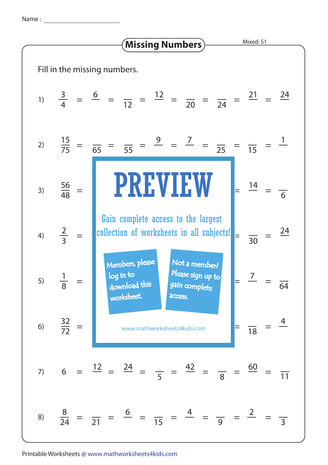